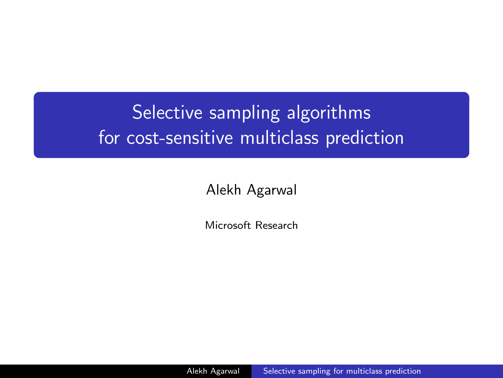# Selective sampling algorithms for cost-sensitive multiclass prediction

Alekh Agarwal

Microsoft Research

<span id="page-0-0"></span>Alekh Agarwal [Selective sampling for multiclass prediction](#page-51-0)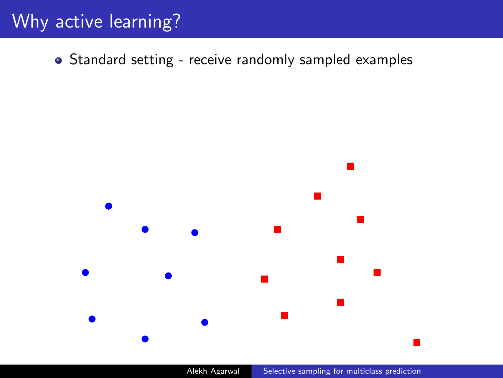# Why active learning?

• Standard setting - receive randomly sampled examples



Alekh Agarwal [Selective sampling for multiclass prediction](#page-0-0)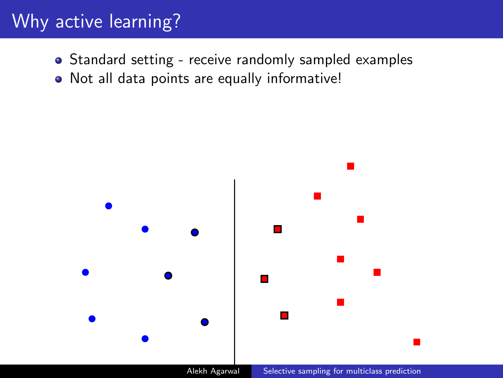# Why active learning?

- Standard setting receive randomly sampled examples
- Not all data points are equally informative!

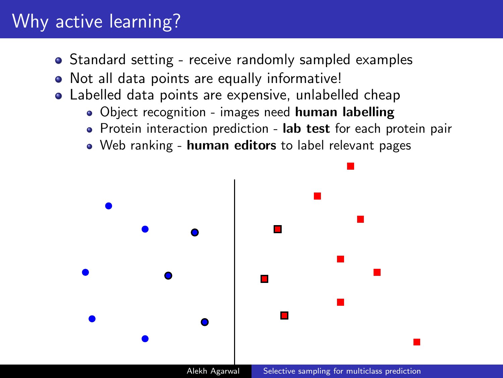# Why active learning?

- Standard setting receive randomly sampled examples
- Not all data points are equally informative!
- Labelled data points are expensive, unlabelled cheap
	- . Object recognition images need human labelling
	- Protein interaction prediction lab test for each protein pair
	- Web ranking human editors to label relevant pages

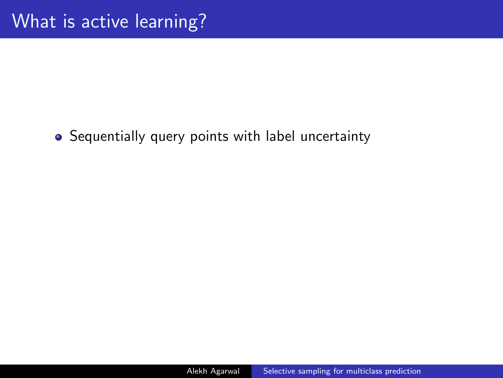• Sequentially query points with label uncertainty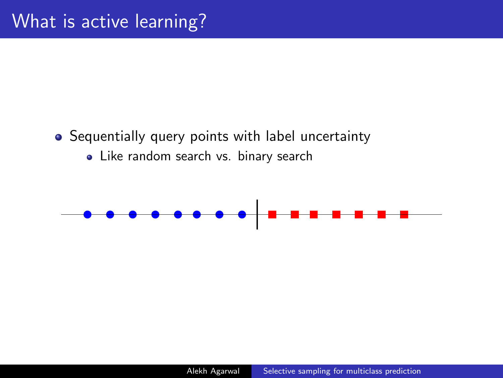### • Sequentially query points with label uncertainty

• Like random search vs. binary search

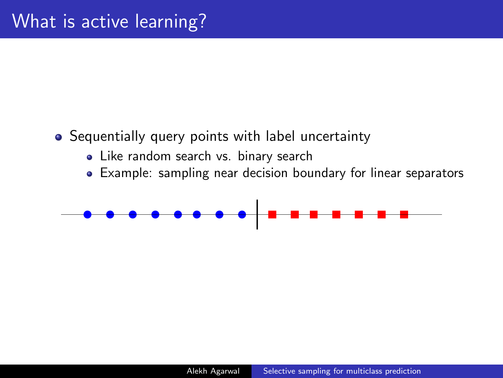### • Sequentially query points with label uncertainty

- Like random search vs. binary search
- Example: sampling near decision boundary for linear separators

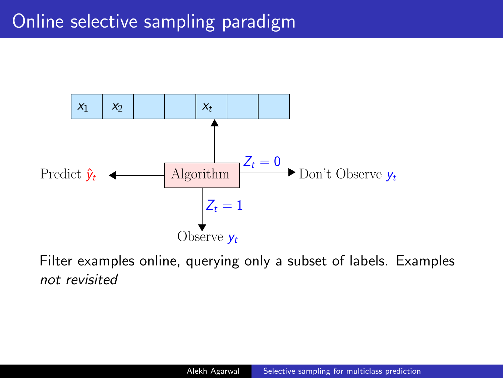

Filter examples online, querying only a subset of labels. Examples not revisited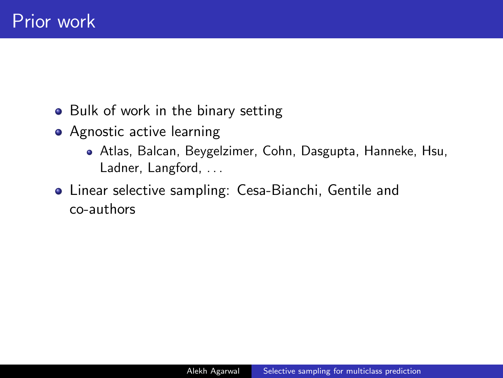- Bulk of work in the binary setting
- Agnostic active learning
	- Atlas, Balcan, Beygelzimer, Cohn, Dasgupta, Hanneke, Hsu, Ladner, Langford, ...
- Linear selective sampling: Cesa-Bianchi, Gentile and co-authors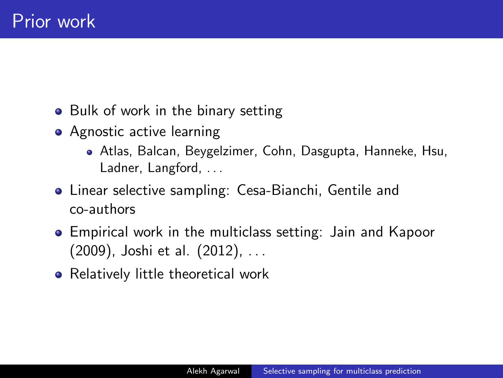- Bulk of work in the binary setting
- Agnostic active learning
	- Atlas, Balcan, Beygelzimer, Cohn, Dasgupta, Hanneke, Hsu, Ladner, Langford, ...
- Linear selective sampling: Cesa-Bianchi, Gentile and co-authors
- Empirical work in the multiclass setting: Jain and Kapoor (2009), Joshi et al. (2012), . . .
- Relatively little theoretical work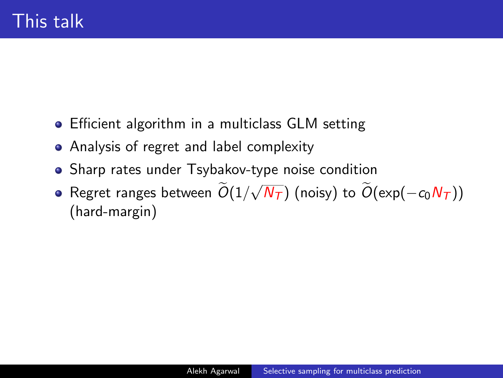- Efficient algorithm in a multiclass GLM setting
- Analysis of regret and label complexity
- Sharp rates under Tsybakov-type noise condition
- Regret ranges between  $O(1/\sqrt{2})$ √  $(\overline{N_{\mathcal{T}}})$  (noisy) to  $O(\exp(-c_0 N_{\mathcal{T}}))$ (hard-margin)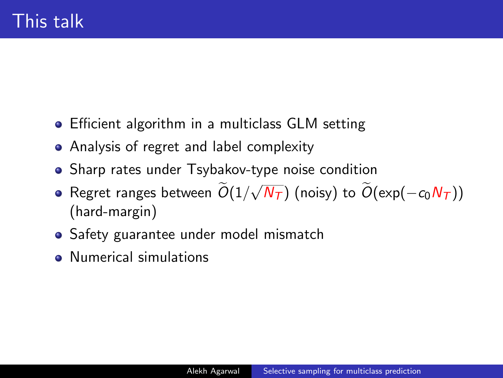- Efficient algorithm in a multiclass GLM setting
- Analysis of regret and label complexity
- Sharp rates under Tsybakov-type noise condition
- Regret ranges between  $O(1/\sqrt{2})$ √  $(\overline{N_{\mathcal{T}}})$  (noisy) to  $O(\exp(-c_0 N_{\mathcal{T}}))$ (hard-margin)
- Safety guarantee under model mismatch
- Numerical simulations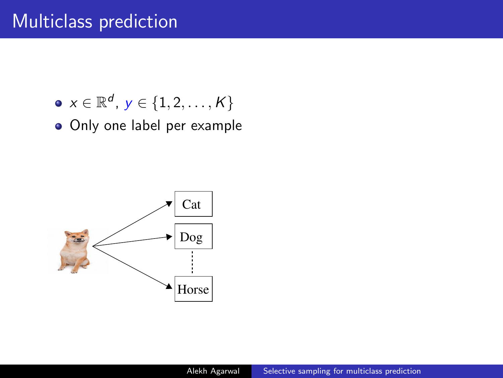- $\mathsf{x} \in \mathbb{R}^{d}$ ,  $\mathsf{y} \in \{1, 2, \ldots, \mathsf{K}\}$
- Only one label per example

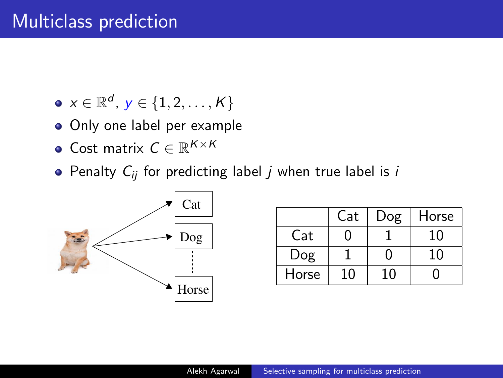- $\mathsf{x} \in \mathbb{R}^{d}$ ,  $\mathsf{y} \in \{1, 2, \ldots, \mathsf{K}\}$
- Only one label per example
- Cost matrix  $C \in \mathbb{R}^{K \times K}$
- Penalty  $C_{ii}$  for predicting label *j* when true label is *i*



| -Cai |       | Cat | Dog | Horse |
|------|-------|-----|-----|-------|
| Dog  | Cat   |     |     | 10    |
|      | Dog   |     |     | 10    |
| . .  | Horse | 10  | 10  |       |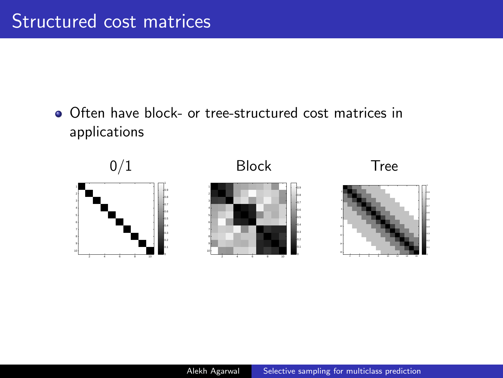Often have block- or tree-structured cost matrices in applications

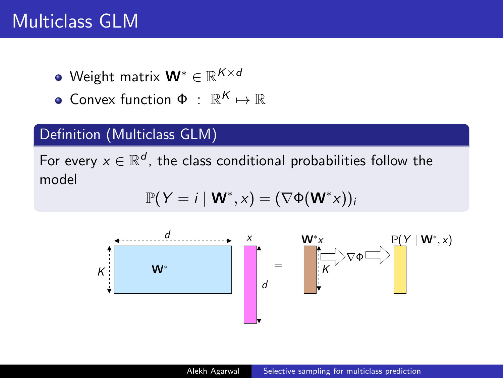# Multiclass GLM

- Weight matrix  $\mathbf{W}^{*} \in \mathbb{R}^{K \times d}$
- Convex function  $\Phi$  :  $\mathbb{R}^K \mapsto \mathbb{R}$

### Definition (Multiclass GLM)

For every  $x \in \mathbb{R}^d$ , the class conditional probabilities follow the model

$$
\mathbb{P}(Y = i \mid \mathbf{W}^*, x) = (\nabla \Phi(\mathbf{W}^*)_i)
$$

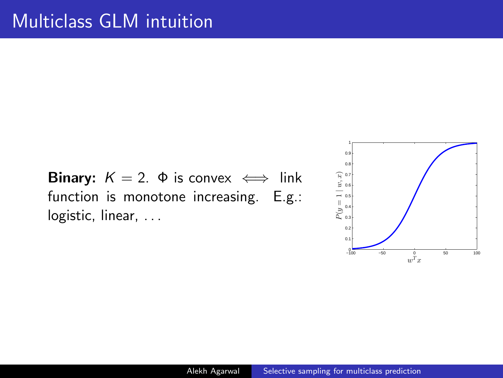**Binary:**  $K = 2$ .  $\Phi$  is convex  $\iff$  link function is monotone increasing. E.g.: logistic, linear, ...

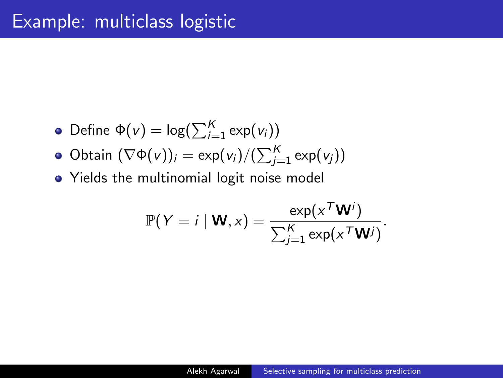### Example: multiclass logistic

• Define 
$$
\Phi(v) = \log(\sum_{i=1}^{K} \exp(v_i))
$$

- Obtain  $(\nabla \Phi(v))_i = \exp(v_i)/(\sum_{j=1}^K \exp(v_j))$
- Yields the multinomial logit noise model

$$
\mathbb{P}(Y = i \mid \mathbf{W}, x) = \frac{\exp(x^T \mathbf{W}^i)}{\sum_{j=1}^K \exp(x^T \mathbf{W}^j)}.
$$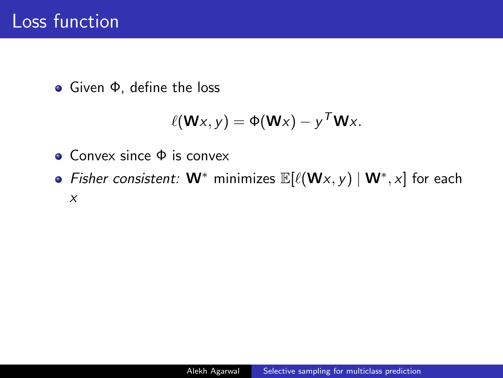Given Φ, define the loss

$$
\ell(\mathbf{W}x, y) = \Phi(\mathbf{W}x) - y^T \mathbf{W}x.
$$

- Convex since Φ is convex
- Fisher consistent:  $W^*$  minimizes  $\mathbb{E}[\ell(Wx, y) | W^*, x]$  for each x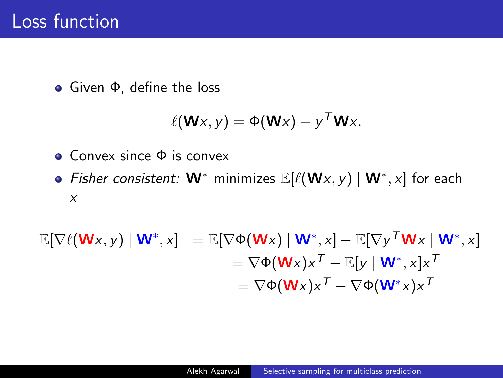Given Φ, define the loss

$$
\ell(\mathbf{W}x, y) = \Phi(\mathbf{W}x) - y^T \mathbf{W}x.
$$

- Convex since Φ is convex
- Fisher consistent:  $W^*$  minimizes  $\mathbb{E}[\ell(Wx, y) | W^*, x]$  for each x

$$
\mathbb{E}[\nabla \ell(\mathbf{W} \mathbf{x}, \mathbf{y}) \mid \mathbf{W}^*, \mathbf{x}] = \mathbb{E}[\nabla \Phi(\mathbf{W} \mathbf{x}) \mid \mathbf{W}^*, \mathbf{x}] - \mathbb{E}[\nabla \mathbf{y}^T \mathbf{W} \mathbf{x} \mid \mathbf{W}^*, \mathbf{x}]
$$
  
\n
$$
= \nabla \Phi(\mathbf{W} \mathbf{x}) \mathbf{x}^T - \mathbb{E}[\mathbf{y} \mid \mathbf{W}^*, \mathbf{x}] \mathbf{x}^T
$$
  
\n
$$
= \nabla \Phi(\mathbf{W} \mathbf{x}) \mathbf{x}^T - \nabla \Phi(\mathbf{W}^* \mathbf{x}) \mathbf{x}^T
$$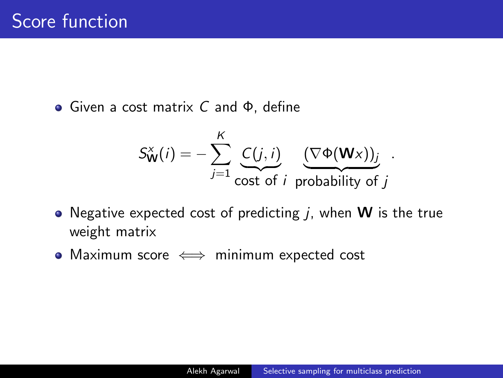Given a cost matrix C and Φ, define

$$
S_{\mathbf{W}}^{x}(i) = -\sum_{j=1}^{K} \underbrace{C(j,i)}_{\text{cost of } i} \underbrace{(\nabla \Phi(\mathbf{W} x))_j}_{\text{probability of } j}.
$$

- Negative expected cost of predicting  $j$ , when **W** is the true weight matrix
- Maximum score  $\iff$  minimum expected cost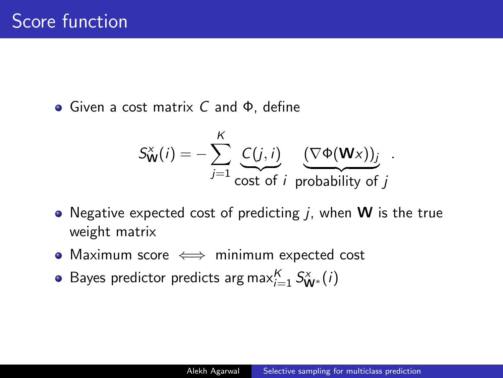Given a cost matrix C and Φ, define

$$
S_{\mathbf{W}}^{x}(i) = -\sum_{j=1}^{K} \underbrace{C(j,i)}_{\text{cost of } i} \underbrace{(\nabla \Phi(\mathbf{W} x))_j}_{\text{probability of } j}.
$$

- Negative expected cost of predicting  $j$ , when **W** is the true weight matrix
- Maximum score  $\iff$  minimum expected cost
- Bayes predictor predicts arg max ${}_{i=1}^K S^x_{\mathbf{W}^*}(i)$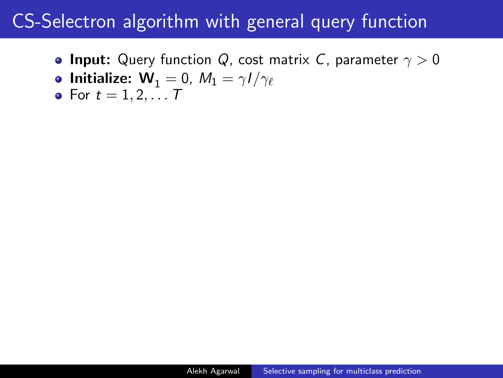**• Input:** Query function Q, cost matrix C, parameter  $\gamma > 0$ 

• **Initialize:** 
$$
W_1 = 0
$$
,  $M_1 = \gamma I / \gamma_{\ell}$ 

• For 
$$
t = 1, 2, ...
$$
 7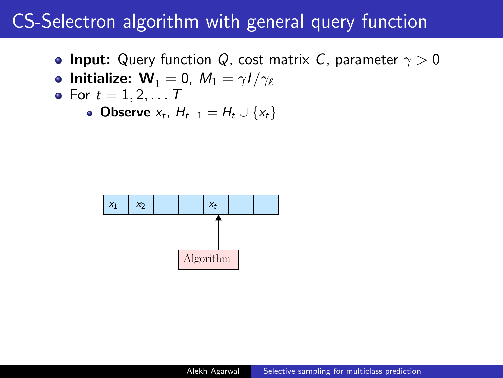- **Input:** Query function Q, cost matrix C, parameter  $\gamma > 0$
- Initialize:  $W_1 = 0$ ,  $M_1 = \gamma I / \gamma_{\ell}$
- For  $t = 1, 2, \ldots T$ 
	- **Observe**  $x_t$ ,  $H_{t+1} = H_t \cup \{x_t\}$

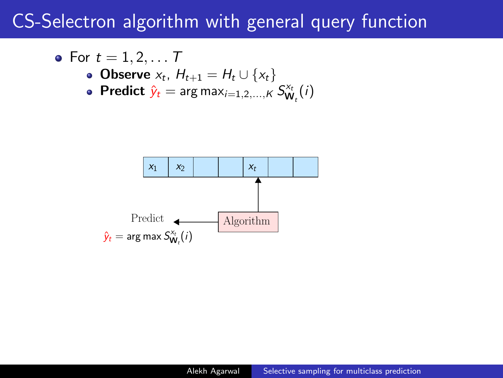• For 
$$
t = 1, 2, ...
$$
 7

• Observe 
$$
x_t
$$
,  $H_{t+1} = H_t \cup \{x_t\}$ 

• **Predict** 
$$
\hat{y}_t = \arg \max_{i=1,2,...,K} S^x_{W_t}(i)
$$

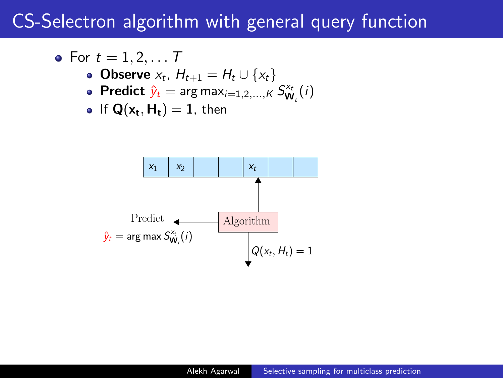• For 
$$
t = 1, 2, ... T
$$
  
\n• Observe  $x_t$ ,  $H_{t+1} = H_t \cup \{x_t\}$ 

**Predict**  $\hat{y}_t$  = arg max<sub>i=1,2,...,K  $S_{\mathbf{W}_t}^{x_t}(i)$ </sub>

$$
\bullet \ \ \text{If } \mathbf{Q}(\mathbf{x_t}, \mathbf{H_t}) = \mathbf{1}, \ \text{then}
$$

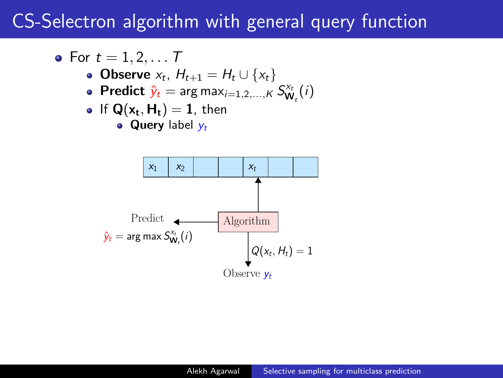\n- \n
$$
t = 1, 2, \ldots T
$$
\n
\n- \n $0$  Diserve  $x_t$ ,  $H_{t+1} = H_t \cup \{x_t\}$ \n
\n- \n $0$  Predict  $\hat{y}_t = \arg \max_{i=1,2,\ldots,K} S_{\mathsf{W}_t}^{x_t}(i)$ \n
\n- \n $0$  If  $\mathsf{Q}(\mathsf{x}_t, \mathsf{H}_t) = 1$ , then\n
	\n- \n $0$  query label  $y_t$ \n
	\n\n
\n

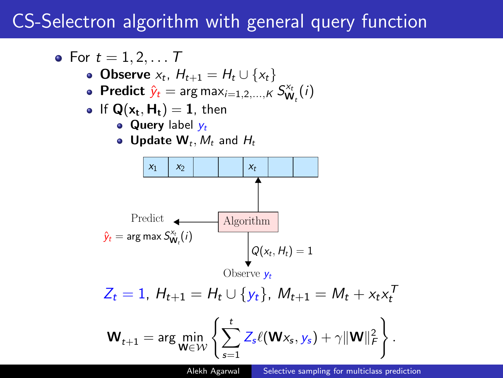\n- \n For 
$$
t = 1, 2, \ldots, T
$$
\n
\n- \n Observe  $x_t$ ,  $H_{t+1} = H_t \cup \{x_t\}$ \n
\n- \n Predict  $\hat{y}_t = \arg \max_{i=1,2,\ldots,K} S_{W_t}^{x_t}(i)$ \n
\n- \n If  $Q(x_t, H_t) = 1$ , then\n
	\n- \n Query label  $y_t$ \n
	\n- \n Update  $W_t$ ,  $M_t$  and  $H_t$ \n
	\n- \n  $x_1$ \n
	\n- \n  $y_2$ \n
	\n- \n Predict\n  $\hat{y}_t = \arg \max S_{W_t}^{x_t}(i)$ \n
	\n\n
\n- \n Predict\n  $\hat{y}_t = \arg \max S_{W_t}^{x_t}(i)$ \n
\n- \n Observe  $y_t$ \n
\n- \n  $Z_t = 1$ ,  $H_{t+1} = H_t \cup \{y_t\}$ ,  $M_{t+1} = M_t + x_t x_t^T$ \n
\n- \n  $W_{t+1} = \arg \min_{W \in \mathcal{W}} \left\{ \sum_{s=1}^t Z_s \ell(Wx_s, y_s) + \gamma \|W\|_F^2 \right\}.$ \n
\n

Alekh Agarwal [Selective sampling for multiclass prediction](#page-0-0)

 $\mathcal{L}$ .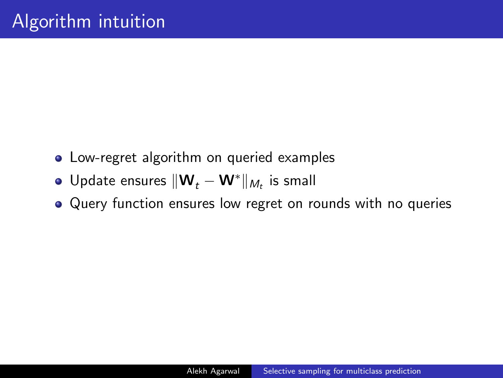- Low-regret algorithm on queried examples
- Update ensures  $\|\mathbf{W}_t \mathbf{W}^*\|_{M_t}$  is small
- Query function ensures low regret on rounds with no queries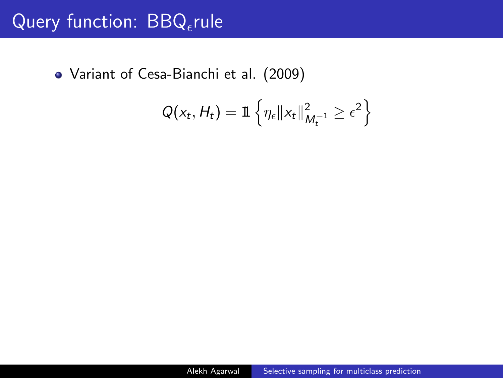# Query function:  $BBQ$ <sub>e</sub>rule

Variant of Cesa-Bianchi et al. (2009)

$$
Q(x_t, H_t) = \mathbb{1}\left\{\eta_{\epsilon} || x_t ||_{M_t^{-1}}^2 \geq \epsilon^2\right\}
$$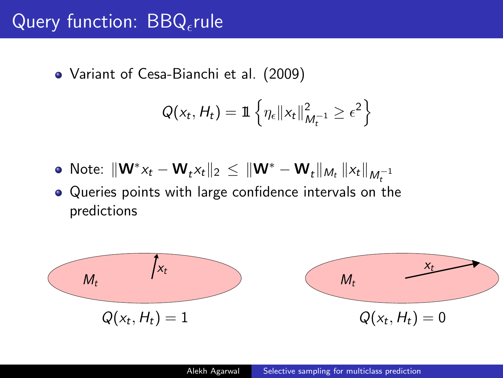# Query function:  $\overline{BBQ}_{\epsilon}$ rule

Variant of Cesa-Bianchi et al. (2009)

$$
Q(x_t, H_t) = \mathbb{1}\left\{\eta_{\epsilon} || x_t ||_{M_t^{-1}}^2 \geq \epsilon^2\right\}
$$

- Note:  $\|\mathbf{W}^*x_t \mathbf{W}_t x_t\|_2 \leq \|\mathbf{W}^* \mathbf{W}_t\|_{M_t} \|x_t\|_{M_t^{-1}}$
- Queries points with large confidence intervals on the predictions

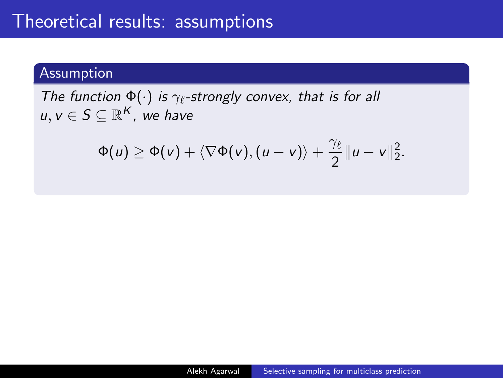### Assumption

The function  $\Phi(\cdot)$  is  $\gamma_{\ell}$ -strongly convex, that is for all  $u, v \in S \subseteq \mathbb{R}^K$ , we have

$$
\Phi(u) \geq \Phi(v) + \langle \nabla \Phi(v), (u-v) \rangle + \frac{\gamma_{\ell}}{2} ||u-v||_2^2.
$$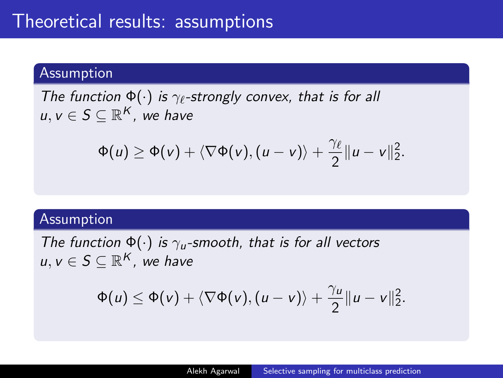#### Assumption

The function  $\Phi(\cdot)$  is  $\gamma_{\ell}$ -strongly convex, that is for all  $u, v \in S \subseteq \mathbb{R}^K$ , we have

$$
\Phi(u) \geq \Phi(v) + \langle \nabla \Phi(v), (u-v) \rangle + \frac{\gamma_{\ell}}{2} ||u-v||_2^2.
$$

#### Assumption

The function  $\Phi(\cdot)$  is  $\gamma_u$ -smooth, that is for all vectors  $u, v \in S \subseteq \mathbb{R}^K$ , we have

$$
\Phi(u) \leq \Phi(v) + \langle \nabla \Phi(v), (u-v) \rangle + \frac{\gamma_u}{2} ||u-v||_2^2.
$$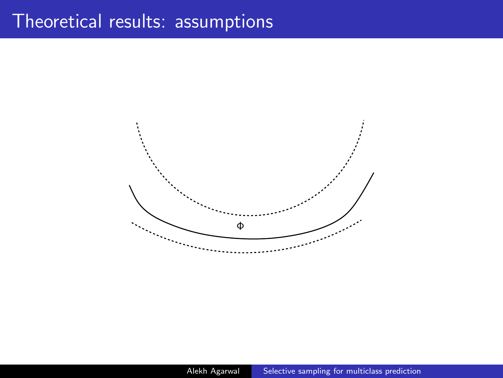### Theoretical results: assumptions

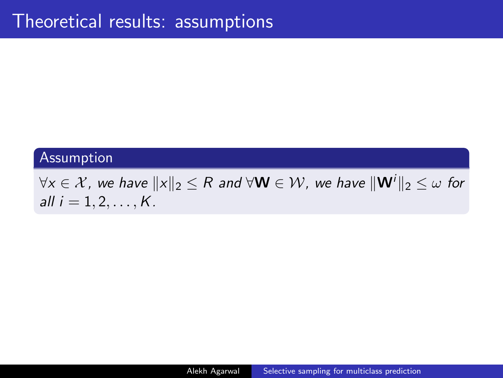#### Assumption

 $\forall x \in \mathcal{X}$ , we have  $||x||_2 \leq R$  and  $\forall \mathbf{W} \in \mathcal{W}$ , we have  $||\mathbf{W}^i||_2 \leq \omega$  for all  $i = 1, 2, ..., K$ .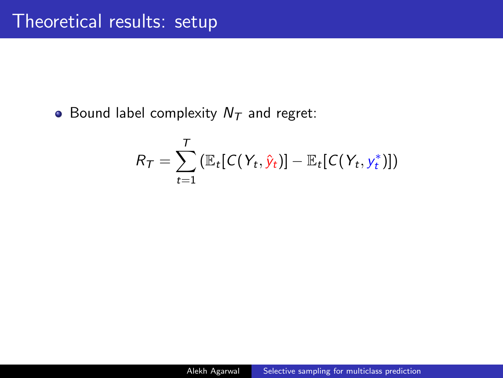• Bound label complexity  $N<sub>T</sub>$  and regret:

$$
R_T = \sum_{t=1}^T \left( \mathbb{E}_t [C(Y_t, \hat{y}_t)] - \mathbb{E}_t [C(Y_t, y_t^*)] \right)
$$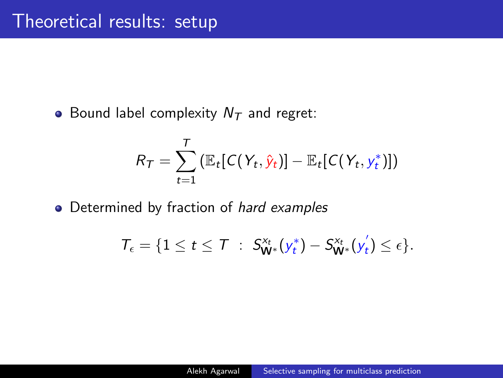• Bound label complexity  $N<sub>T</sub>$  and regret:

$$
R_T = \sum_{t=1}^T \left( \mathbb{E}_t [C(Y_t, \hat{y}_t)] - \mathbb{E}_t [C(Y_t, y_t^*)] \right)
$$

• Determined by fraction of hard examples

$$
\mathcal{T}_{\epsilon} = \{1 \leq t \leq \mathcal{T} \; : \; S_{\mathbf{W}^*}^{x_t}(y_t^*) - S_{\mathbf{W}^*}^{x_t}(y_t^{'}) \leq \epsilon\}.
$$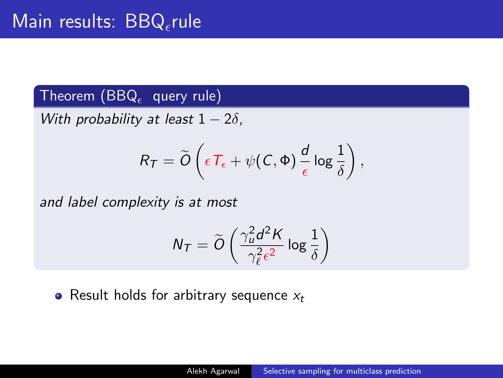### Theorem (BBQ $_{\epsilon}$  query rule)

With probability at least  $1 - 2\delta$ ,

$$
R_T = \widetilde{O}\left(\epsilon T_{\epsilon} + \psi(\mathcal{C}, \Phi) \frac{d}{\epsilon} \log \frac{1}{\delta}\right),\,
$$

and label complexity is at most

$$
N_T = \widetilde{O}\left(\frac{\gamma_u^2 d^2 K}{\gamma_\ell^2 \epsilon^2} \log \frac{1}{\delta}\right)
$$

• Result holds for arbitrary sequence  $x_t$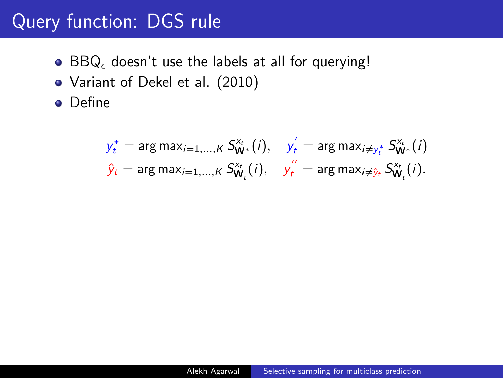# Query function: DGS rule

- $\bullet$  BBQ, doesn't use the labels at all for querying!
- Variant of Dekel et al. (2010)
- **•** Define

$$
\begin{aligned}\ny_t^* &= \arg \max_{i=1,\dots,K} S_{\mathbf{W}^*}^{x_t}(i), & y_t' &= \arg \max_{i \neq y_t^*} S_{\mathbf{W}^*}^{x_t}(i) \\
\hat{y}_t &= \arg \max_{i=1,\dots,K} S_{\mathbf{W}_t}^{x_t}(i), & y_t'' &= \arg \max_{i \neq \hat{y}_t} S_{\mathbf{W}_t}^{x_t}(i).\n\end{aligned}
$$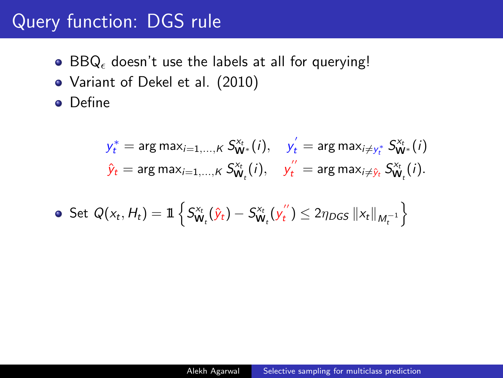# Query function: DGS rule

- $\bullet$  BBQ, doesn't use the labels at all for querying!
- Variant of Dekel et al. (2010)
- **•** Define

$$
y_t^* = \arg \max_{i=1,\dots,K} S_{\mathbf{W}^*}^{x_t}(i), \quad y_t' = \arg \max_{i \neq y_t^*} S_{\mathbf{W}^*}^{x_t}(i)
$$

$$
\hat{y}_t = \arg \max_{i=1,\dots,K} S_{\mathbf{W}_t}^{x_t}(i), \quad y_t'' = \arg \max_{i \neq \hat{y}_t} S_{\mathbf{W}_t}^{x_t}(i).
$$

• Set 
$$
Q(x_t, H_t) = \mathbb{1}\left\{S_{\mathbf{W}_t}^{x_t}(\hat{y}_t) - S_{\mathbf{W}_t}^{x_t}(y_t'') \le 2\eta_{DGS} ||x_t||_{M_t^{-1}}\right\}
$$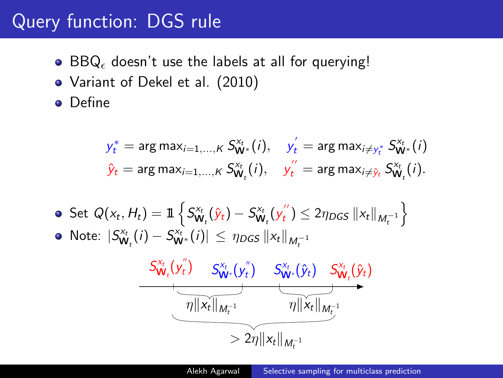# Query function: DGS rule

- $\bullet$  BBQ, doesn't use the labels at all for querying!
- Variant of Dekel et al. (2010)
- Define

$$
y_t^* = \arg \max_{i=1,\dots,K} S_{\mathbf{W}^*}^{x_t}(i), \quad y_t' = \arg \max_{i \neq y_t^*} S_{\mathbf{W}^*}^{x_t}(i)
$$

$$
\hat{y}_t = \arg \max_{i=1,\dots,K} S_{\mathbf{W}_t}^{x_t}(i), \quad y_t'' = \arg \max_{i \neq \hat{y}_t} S_{\mathbf{W}_t}^{x_t}(i).
$$

\n- Set 
$$
Q(x_t, H_t) = \mathbb{1} \left\{ S_{\mathbf{W}_t}^{x_t}(\hat{y}_t) - S_{\mathbf{W}_t}^{x_t}(y_t'') \leq 2\eta_{DGS} \|x_t\|_{M_t^{-1}} \right\}
$$
\n- Note:  $|S_{\mathbf{W}_t}^{x_t}(i) - S_{\mathbf{W}^*}^{x_t}(i)| \leq \eta_{DGS} \|x_t\|_{M_t^{-1}}$
\n

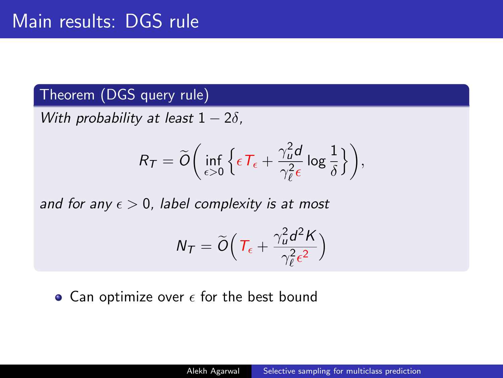### Theorem (DGS query rule)

With probability at least  $1 - 2\delta$ ,

$$
R_T = \widetilde{O}\bigg(\inf_{\epsilon>0}\Big\{\epsilon\,T_{\epsilon} + \frac{\gamma_u^2 d}{\gamma_{\ell}^2 \epsilon}\log\frac{1}{\delta}\Big\}\bigg),\,
$$

and for any  $\epsilon > 0$ , label complexity is at most

$$
N_T = \widetilde{O}\Big(T_{\epsilon} + \frac{\gamma_u^2 d^2 K}{\gamma_{\ell}^2 \epsilon^2}\Big)
$$

• Can optimize over  $\epsilon$  for the best bound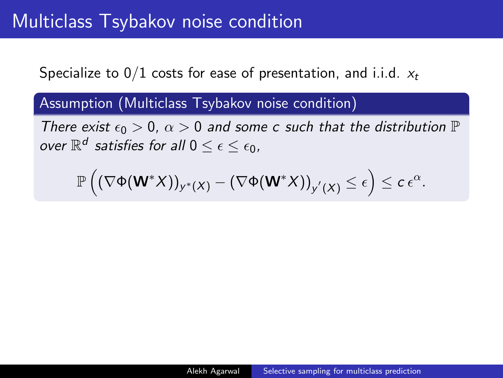Specialize to  $0/1$  costs for ease of presentation, and i.i.d.  $x_t$ 

Assumption (Multiclass Tsybakov noise condition)

There exist  $\epsilon_0 > 0$ ,  $\alpha > 0$  and some c such that the distribution  $\mathbb P$ over  $\mathbb{R}^d$  satisfies for all  $0\leq\epsilon\leq\epsilon_0$ ,

$$
\mathbb{P}\left((\nabla \Phi(\mathbf{W}^*X))_{y^*(X)} - (\nabla \Phi(\mathbf{W}^*X))_{y'(X)} \leq \epsilon\right) \leq c\, \epsilon^{\alpha}.
$$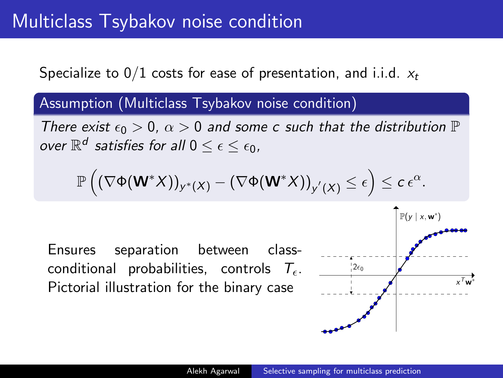Specialize to  $0/1$  costs for ease of presentation, and i.i.d.  $x_t$ 

Assumption (Multiclass Tsybakov noise condition)

There exist  $\epsilon_0 > 0$ ,  $\alpha > 0$  and some c such that the distribution  $\mathbb P$ over  $\mathbb{R}^d$  satisfies for all  $0\leq\epsilon\leq\epsilon_0$ ,

$$
\mathbb{P}\left((\nabla \Phi(\mathbf{W}^*X))_{y^*(X)} - (\nabla \Phi(\mathbf{W}^*X))_{y'(X)} \leq \epsilon\right) \leq c\, \epsilon^{\alpha}.
$$

Ensures separation between classconditional probabilities, controls  $T_{\epsilon}$ . Pictorial illustration for the binary case

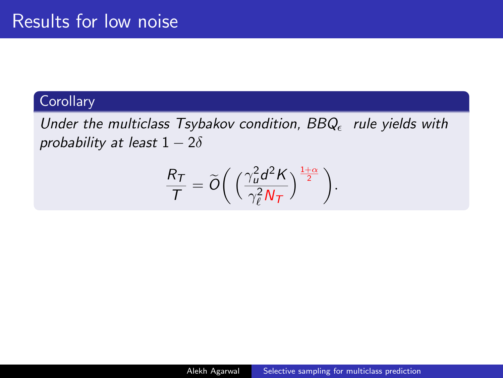### **Corollary**

Under the multiclass Tsybakov condition,  $BBQ_{\epsilon}$  rule yields with probability at least  $1 - 2\delta$ 

$$
\frac{R_T}{T} = \widetilde{O}\bigg(\left(\frac{\gamma_u^2 d^2 K}{\gamma_\ell^2 N_T}\right)^{\frac{1+\alpha}{2}}\bigg).
$$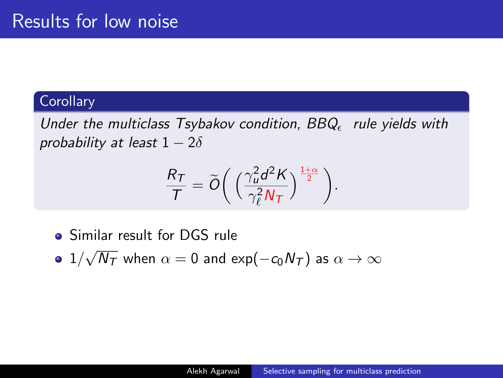### **Corollary**

Under the multiclass Tsybakov condition,  $BBQ_{\epsilon}$  rule yields with probability at least  $1 - 2\delta$ 

$$
\frac{R_T}{T} = \widetilde{O}\bigg(\left(\frac{\gamma_u^2 d^2 K}{\gamma_\ell^2 N_T}\right)^{\frac{1+\alpha}{2}}\bigg).
$$

- Similar result for DGS rule
- $1/$ √  $N_\mathcal{T}$  when  $\alpha=0$  and exp $(-c_0N_\mathcal{T})$  as  $\alpha\to\infty$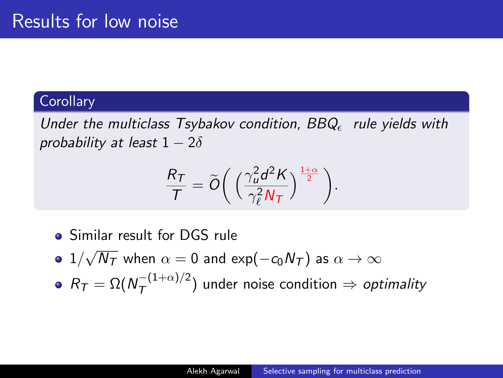### **Corollary**

Under the multiclass Tsybakov condition,  $BBQ_{\epsilon}$  rule yields with probability at least  $1-2\delta$ 

$$
\frac{R_T}{T} = \widetilde{O}\bigg(\left(\frac{\gamma_u^2 d^2 K}{\gamma_\ell^2 N_T}\right)^{\frac{1+\alpha}{2}}\bigg).
$$

- Similar result for DGS rule
- $1/$ √  $N_\mathcal{T}$  when  $\alpha=0$  and exp $(-c_0N_\mathcal{T})$  as  $\alpha\to\infty$
- $R_{\mathcal{T}} = \Omega(N_{\mathcal{T}}^{-(1+\alpha)/2})$  $\left(\frac{1}{T}$  $\left(\frac{1+\alpha}{1}\right)^2\right)$  under noise condition  $\Rightarrow$  *optimality*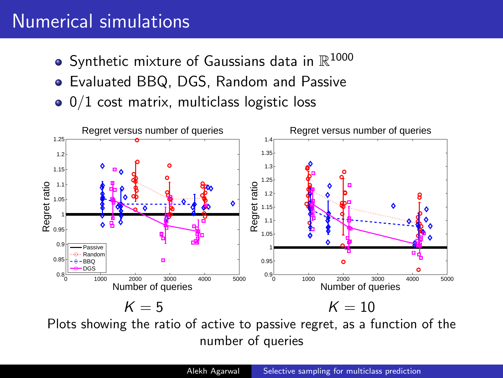## Numerical simulations

- Synthetic mixture of Gaussians data in  $\mathbb{R}^{1000}$
- Evaluated BBQ, DGS, Random and Passive
- $\bullet$  0/1 cost matrix, multiclass logistic loss



Plots showing the ratio of active to passive regret, as a function of the number of queries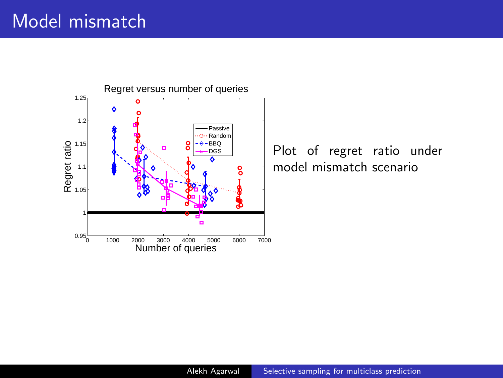### Model mismatch



Plot of regret ratio under model mismatch scenario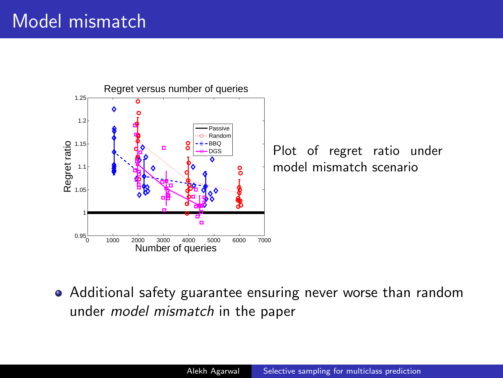## Model mismatch



Plot of regret ratio under model mismatch scenario

Additional safety guarantee ensuring never worse than random under model mismatch in the paper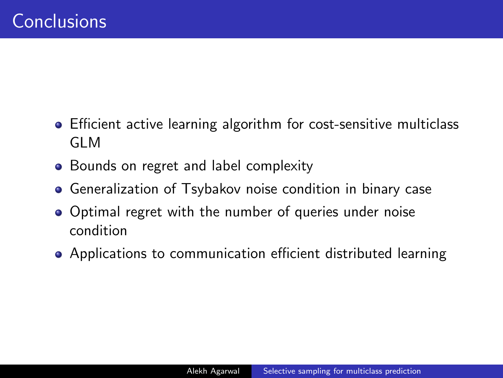- Efficient active learning algorithm for cost-sensitive multiclass GLM
- Bounds on regret and label complexity
- Generalization of Tsybakov noise condition in binary case  $\bullet$
- Optimal regret with the number of queries under noise condition
- Applications to communication efficient distributed learning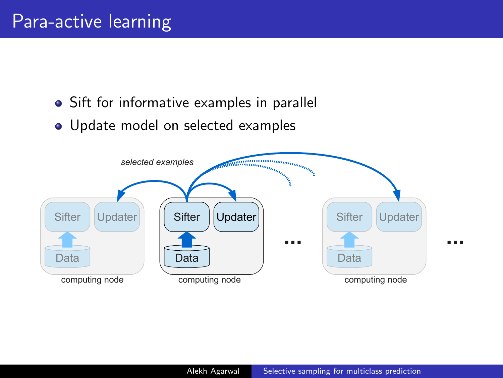- Sift for informative examples in parallel
- <span id="page-51-0"></span>• Update model on selected examples